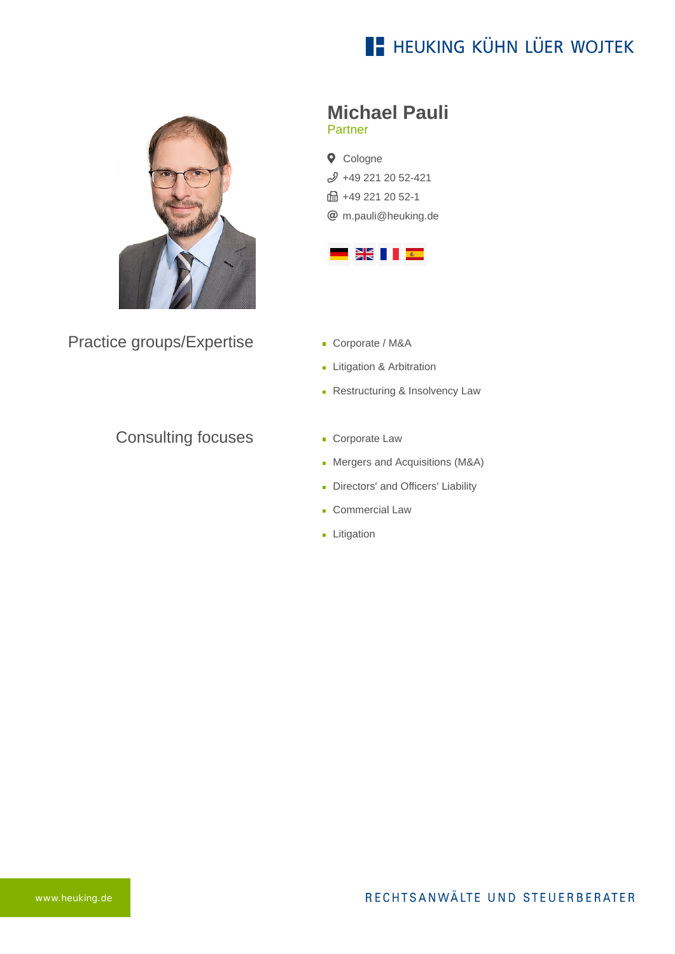## **E- HEUKING KÜHN LÜER WOJTEK**



Practice groups/Expertise

#### Consulting focuses

# **Michael Pauli**

Partner

**Q** Cologne [+49 221 20 52-421](tel:+492212052421) **B** +49 221 20 52-1 [m.pauli@heuking.de](mailto:m.pauli@heuking.de?subject=Contact%20via%20website%20heuking.de)



- Corporate / M&A
- **Litigation & Arbitration**
- Restructuring & Insolvency Law
- **Corporate Law**
- **Mergers and Acquisitions (M&A)**
- Directors' and Officers' Liability
- Commercial Law
- **Litigation**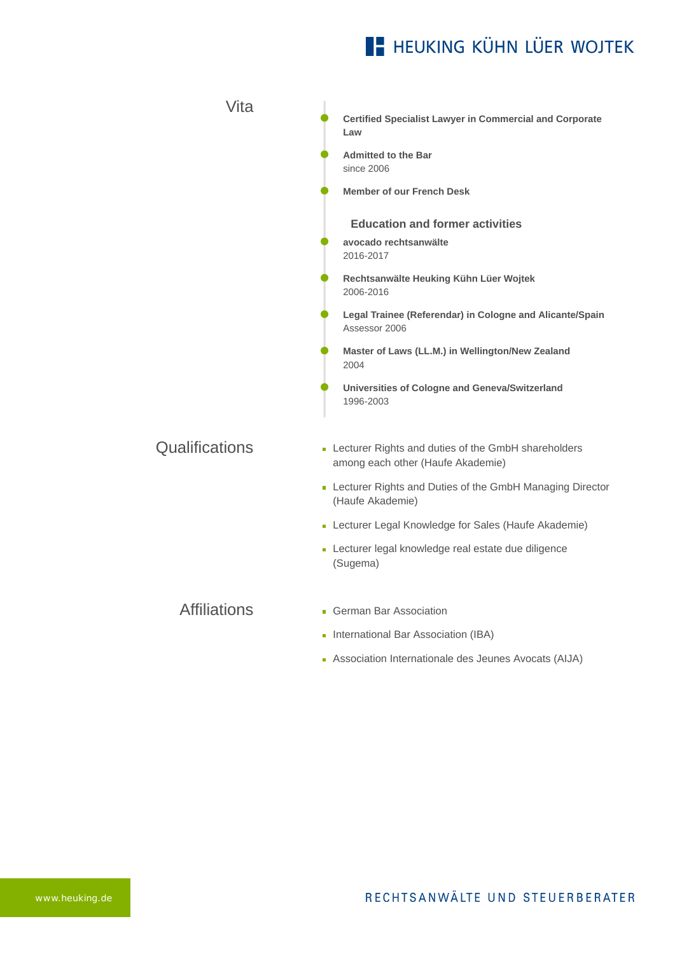## **E- HEUKING KÜHN LÜER WOJTEK**

| Vita                | <b>Certified Specialist Lawyer in Commercial and Corporate</b><br>Law                      |
|---------------------|--------------------------------------------------------------------------------------------|
|                     | <b>Admitted to the Bar</b><br>since 2006                                                   |
|                     | <b>Member of our French Desk</b>                                                           |
|                     | <b>Education and former activities</b>                                                     |
|                     | avocado rechtsanwälte<br>2016-2017                                                         |
|                     | Rechtsanwälte Heuking Kühn Lüer Wojtek<br>2006-2016                                        |
|                     | Legal Trainee (Referendar) in Cologne and Alicante/Spain<br>Assessor 2006                  |
|                     | Master of Laws (LL.M.) in Wellington/New Zealand<br>2004                                   |
|                     | Universities of Cologne and Geneva/Switzerland<br>1996-2003                                |
| Qualifications      | - Lecturer Rights and duties of the GmbH shareholders<br>among each other (Haufe Akademie) |
|                     | - Lecturer Rights and Duties of the GmbH Managing Director<br>(Haufe Akademie)             |
|                     | - Lecturer Legal Knowledge for Sales (Haufe Akademie)                                      |
|                     | - Lecturer legal knowledge real estate due diligence<br>(Sugema)                           |
| <b>Affiliations</b> | • German Bar Association                                                                   |
|                     | International Bar Association (IBA)                                                        |
|                     | Association Internationale des Jeunes Avocats (AIJA)                                       |